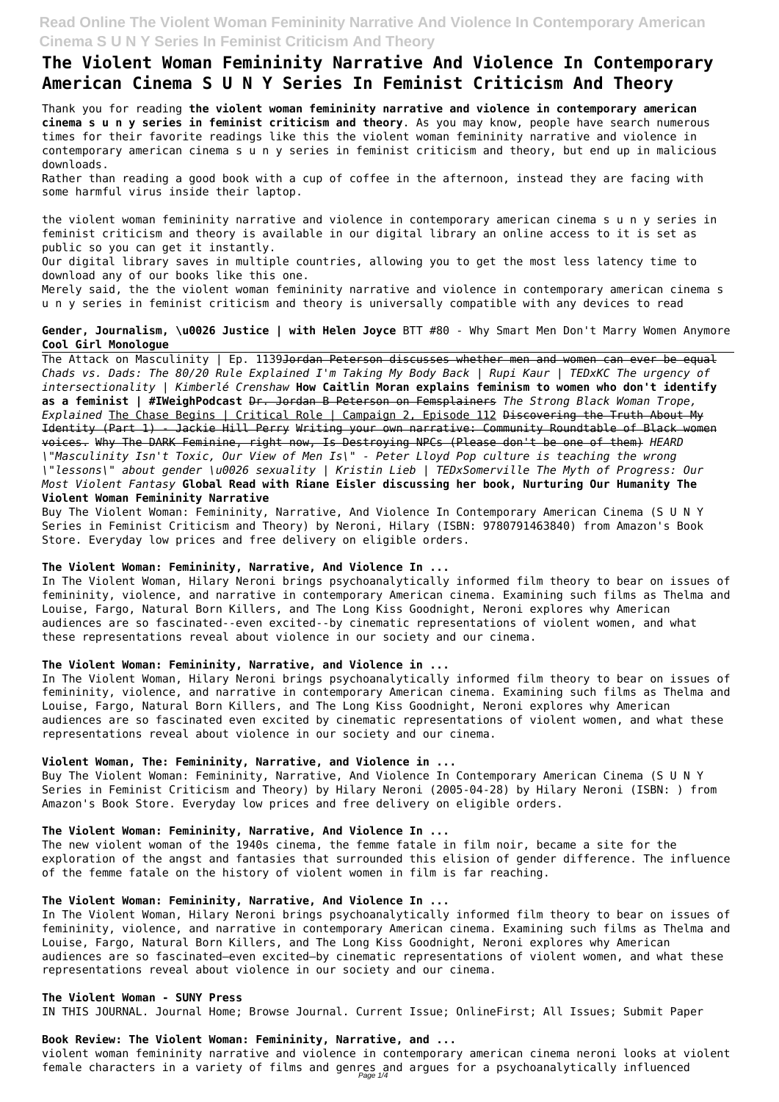# **The Violent Woman Femininity Narrative And Violence In Contemporary American Cinema S U N Y Series In Feminist Criticism And Theory**

Thank you for reading **the violent woman femininity narrative and violence in contemporary american cinema s u n y series in feminist criticism and theory**. As you may know, people have search numerous times for their favorite readings like this the violent woman femininity narrative and violence in contemporary american cinema s u n y series in feminist criticism and theory, but end up in malicious downloads.

Rather than reading a good book with a cup of coffee in the afternoon, instead they are facing with some harmful virus inside their laptop.

the violent woman femininity narrative and violence in contemporary american cinema s u n y series in feminist criticism and theory is available in our digital library an online access to it is set as public so you can get it instantly.

Our digital library saves in multiple countries, allowing you to get the most less latency time to download any of our books like this one.

The Attack on Masculinity | Ep. 1139<del>Jordan Peterson discusses whether men and women can ever be equal</del> *Chads vs. Dads: The 80/20 Rule Explained I'm Taking My Body Back | Rupi Kaur | TEDxKC The urgency of intersectionality | Kimberlé Crenshaw* **How Caitlin Moran explains feminism to women who don't identify as a feminist | #IWeighPodcast** Dr. Jordan B Peterson on Femsplainers *The Strong Black Woman Trope, Explained* The Chase Begins | Critical Role | Campaign 2, Episode 112 Discovering the Truth About My Identity (Part 1) - Jackie Hill Perry Writing your own narrative: Community Roundtable of Black women voices. Why The DARK Feminine, right now, Is Destroying NPCs (Please don't be one of them) *HEARD \"Masculinity Isn't Toxic, Our View of Men Is\" - Peter Lloyd Pop culture is teaching the wrong \"lessons\" about gender \u0026 sexuality | Kristin Lieb | TEDxSomerville The Myth of Progress: Our Most Violent Fantasy* **Global Read with Riane Eisler discussing her book, Nurturing Our Humanity The Violent Woman Femininity Narrative**

Merely said, the the violent woman femininity narrative and violence in contemporary american cinema s u n y series in feminist criticism and theory is universally compatible with any devices to read

#### **Gender, Journalism, \u0026 Justice | with Helen Joyce** BTT #80 - Why Smart Men Don't Marry Women Anymore **Cool Girl Monologue**

Buy The Violent Woman: Femininity, Narrative, And Violence In Contemporary American Cinema (S U N Y Series in Feminist Criticism and Theory) by Neroni, Hilary (ISBN: 9780791463840) from Amazon's Book Store. Everyday low prices and free delivery on eligible orders.

#### **The Violent Woman: Femininity, Narrative, And Violence In ...**

In The Violent Woman, Hilary Neroni brings psychoanalytically informed film theory to bear on issues of femininity, violence, and narrative in contemporary American cinema. Examining such films as Thelma and Louise, Fargo, Natural Born Killers, and The Long Kiss Goodnight, Neroni explores why American audiences are so fascinated--even excited--by cinematic representations of violent women, and what these representations reveal about violence in our society and our cinema.

#### **The Violent Woman: Femininity, Narrative, and Violence in ...**

In The Violent Woman, Hilary Neroni brings psychoanalytically informed film theory to bear on issues of femininity, violence, and narrative in contemporary American cinema. Examining such films as Thelma and Louise, Fargo, Natural Born Killers, and The Long Kiss Goodnight, Neroni explores why American audiences are so fascinated even excited by cinematic representations of violent women, and what these representations reveal about violence in our society and our cinema.

#### **Violent Woman, The: Femininity, Narrative, and Violence in ...**

Buy The Violent Woman: Femininity, Narrative, And Violence In Contemporary American Cinema (S U N Y Series in Feminist Criticism and Theory) by Hilary Neroni (2005-04-28) by Hilary Neroni (ISBN: ) from Amazon's Book Store. Everyday low prices and free delivery on eligible orders.

### **The Violent Woman: Femininity, Narrative, And Violence In ...**

The new violent woman of the 1940s cinema, the femme fatale in film noir, became a site for the exploration of the angst and fantasies that surrounded this elision of gender difference. The influence of the femme fatale on the history of violent women in film is far reaching.

#### **The Violent Woman: Femininity, Narrative, And Violence In ...**

In The Violent Woman, Hilary Neroni brings psychoanalytically informed film theory to bear on issues of femininity, violence, and narrative in contemporary American cinema. Examining such films as Thelma and Louise, Fargo, Natural Born Killers, and The Long Kiss Goodnight, Neroni explores why American audiences are so fascinated—even excited—by cinematic representations of violent women, and what these representations reveal about violence in our society and our cinema.

#### **The Violent Woman - SUNY Press**

IN THIS JOURNAL. Journal Home; Browse Journal. Current Issue; OnlineFirst; All Issues; Submit Paper

#### **Book Review: The Violent Woman: Femininity, Narrative, and ...**

violent woman femininity narrative and violence in contemporary american cinema neroni looks at violent female characters in a variety of films and genres and argues for a psychoanalytically influenced Page 1/4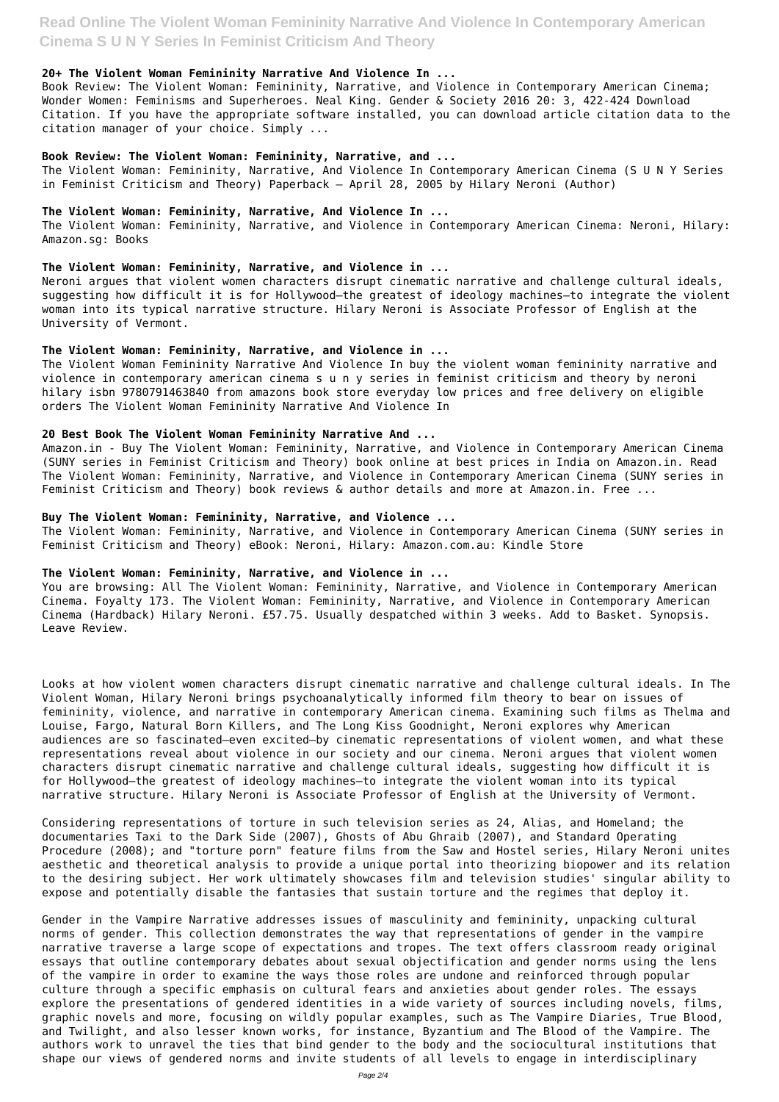#### **20+ The Violent Woman Femininity Narrative And Violence In ...**

Book Review: The Violent Woman: Femininity, Narrative, and Violence in Contemporary American Cinema; Wonder Women: Feminisms and Superheroes. Neal King. Gender & Society 2016 20: 3, 422-424 Download Citation. If you have the appropriate software installed, you can download article citation data to the citation manager of your choice. Simply ...

#### **Book Review: The Violent Woman: Femininity, Narrative, and ...**

The Violent Woman: Femininity, Narrative, And Violence In Contemporary American Cinema (S U N Y Series in Feminist Criticism and Theory) Paperback – April 28, 2005 by Hilary Neroni (Author)

#### **The Violent Woman: Femininity, Narrative, And Violence In ...**

The Violent Woman: Femininity, Narrative, and Violence in Contemporary American Cinema: Neroni, Hilary: Amazon.sg: Books

#### **The Violent Woman: Femininity, Narrative, and Violence in ...**

Neroni argues that violent women characters disrupt cinematic narrative and challenge cultural ideals, suggesting how difficult it is for Hollywood-the greatest of ideology machines-to integrate the violent woman into its typical narrative structure. Hilary Neroni is Associate Professor of English at the University of Vermont.

#### **The Violent Woman: Femininity, Narrative, and Violence in ...**

The Violent Woman Femininity Narrative And Violence In buy the violent woman femininity narrative and violence in contemporary american cinema s u n y series in feminist criticism and theory by neroni hilary isbn 9780791463840 from amazons book store everyday low prices and free delivery on eligible orders The Violent Woman Femininity Narrative And Violence In

#### **20 Best Book The Violent Woman Femininity Narrative And ...**

Amazon.in - Buy The Violent Woman: Femininity, Narrative, and Violence in Contemporary American Cinema (SUNY series in Feminist Criticism and Theory) book online at best prices in India on Amazon.in. Read The Violent Woman: Femininity, Narrative, and Violence in Contemporary American Cinema (SUNY series in Feminist Criticism and Theory) book reviews & author details and more at Amazon.in. Free ...

#### **Buy The Violent Woman: Femininity, Narrative, and Violence ...**

The Violent Woman: Femininity, Narrative, and Violence in Contemporary American Cinema (SUNY series in Feminist Criticism and Theory) eBook: Neroni, Hilary: Amazon.com.au: Kindle Store

#### **The Violent Woman: Femininity, Narrative, and Violence in ...**

You are browsing: All The Violent Woman: Femininity, Narrative, and Violence in Contemporary American Cinema. Foyalty 173. The Violent Woman: Femininity, Narrative, and Violence in Contemporary American Cinema (Hardback) Hilary Neroni. £57.75. Usually despatched within 3 weeks. Add to Basket. Synopsis. Leave Review.

Looks at how violent women characters disrupt cinematic narrative and challenge cultural ideals. In The Violent Woman, Hilary Neroni brings psychoanalytically informed film theory to bear on issues of femininity, violence, and narrative in contemporary American cinema. Examining such films as Thelma and Louise, Fargo, Natural Born Killers, and The Long Kiss Goodnight, Neroni explores why American audiences are so fascinated—even excited—by cinematic representations of violent women, and what these representations reveal about violence in our society and our cinema. Neroni argues that violent women characters disrupt cinematic narrative and challenge cultural ideals, suggesting how difficult it is for Hollywood—the greatest of ideology machines—to integrate the violent woman into its typical narrative structure. Hilary Neroni is Associate Professor of English at the University of Vermont.

Considering representations of torture in such television series as 24, Alias, and Homeland; the documentaries Taxi to the Dark Side (2007), Ghosts of Abu Ghraib (2007), and Standard Operating Procedure (2008); and "torture porn" feature films from the Saw and Hostel series, Hilary Neroni unites aesthetic and theoretical analysis to provide a unique portal into theorizing biopower and its relation to the desiring subject. Her work ultimately showcases film and television studies' singular ability to expose and potentially disable the fantasies that sustain torture and the regimes that deploy it.

Gender in the Vampire Narrative addresses issues of masculinity and femininity, unpacking cultural norms of gender. This collection demonstrates the way that representations of gender in the vampire narrative traverse a large scope of expectations and tropes. The text offers classroom ready original essays that outline contemporary debates about sexual objectification and gender norms using the lens of the vampire in order to examine the ways those roles are undone and reinforced through popular culture through a specific emphasis on cultural fears and anxieties about gender roles. The essays explore the presentations of gendered identities in a wide variety of sources including novels, films, graphic novels and more, focusing on wildly popular examples, such as The Vampire Diaries, True Blood, and Twilight, and also lesser known works, for instance, Byzantium and The Blood of the Vampire. The authors work to unravel the ties that bind gender to the body and the sociocultural institutions that shape our views of gendered norms and invite students of all levels to engage in interdisciplinary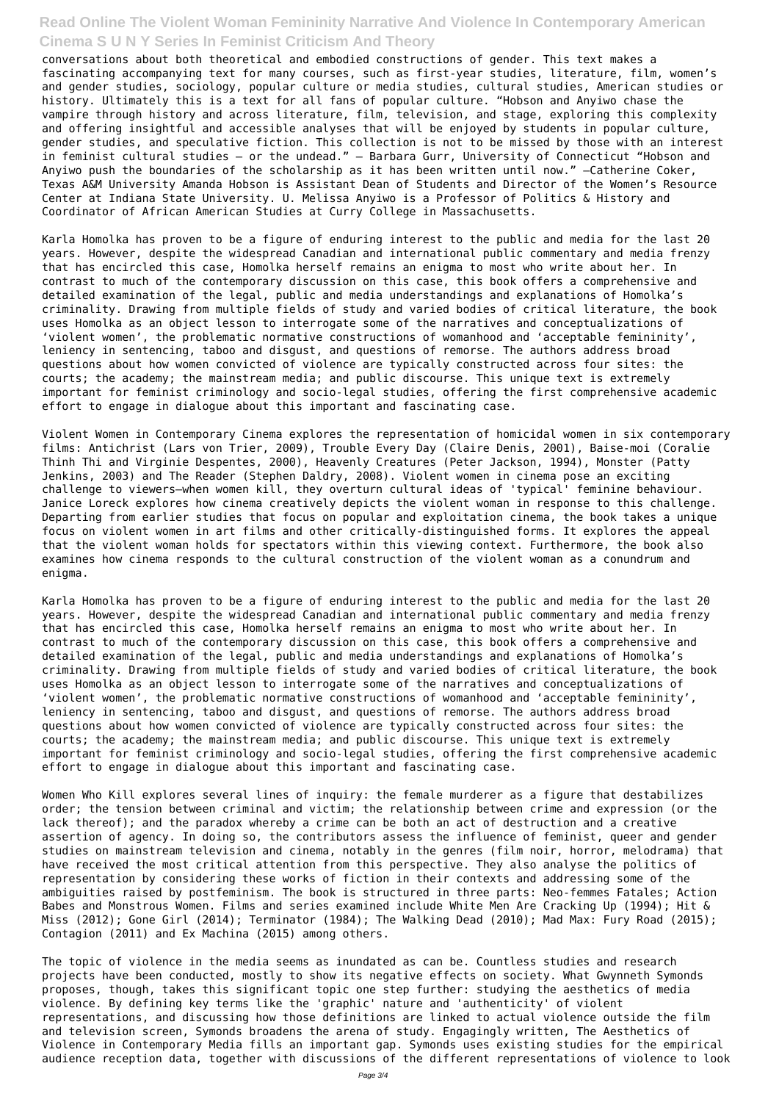conversations about both theoretical and embodied constructions of gender. This text makes a fascinating accompanying text for many courses, such as first-year studies, literature, film, women's and gender studies, sociology, popular culture or media studies, cultural studies, American studies or history. Ultimately this is a text for all fans of popular culture. "Hobson and Anyiwo chase the vampire through history and across literature, film, television, and stage, exploring this complexity and offering insightful and accessible analyses that will be enjoyed by students in popular culture, gender studies, and speculative fiction. This collection is not to be missed by those with an interest in feminist cultural studies – or the undead." – Barbara Gurr, University of Connecticut "Hobson and Anyiwo push the boundaries of the scholarship as it has been written until now." –Catherine Coker, Texas A&M University Amanda Hobson is Assistant Dean of Students and Director of the Women's Resource Center at Indiana State University. U. Melissa Anyiwo is a Professor of Politics & History and Coordinator of African American Studies at Curry College in Massachusetts.

Karla Homolka has proven to be a figure of enduring interest to the public and media for the last 20 years. However, despite the widespread Canadian and international public commentary and media frenzy that has encircled this case, Homolka herself remains an enigma to most who write about her. In contrast to much of the contemporary discussion on this case, this book offers a comprehensive and detailed examination of the legal, public and media understandings and explanations of Homolka's criminality. Drawing from multiple fields of study and varied bodies of critical literature, the book uses Homolka as an object lesson to interrogate some of the narratives and conceptualizations of 'violent women', the problematic normative constructions of womanhood and 'acceptable femininity', leniency in sentencing, taboo and disgust, and questions of remorse. The authors address broad questions about how women convicted of violence are typically constructed across four sites: the courts; the academy; the mainstream media; and public discourse. This unique text is extremely important for feminist criminology and socio-legal studies, offering the first comprehensive academic effort to engage in dialogue about this important and fascinating case.

Violent Women in Contemporary Cinema explores the representation of homicidal women in six contemporary films: Antichrist (Lars von Trier, 2009), Trouble Every Day (Claire Denis, 2001), Baise-moi (Coralie Thinh Thi and Virginie Despentes, 2000), Heavenly Creatures (Peter Jackson, 1994), Monster (Patty Jenkins, 2003) and The Reader (Stephen Daldry, 2008). Violent women in cinema pose an exciting challenge to viewers—when women kill, they overturn cultural ideas of 'typical' feminine behaviour. Janice Loreck explores how cinema creatively depicts the violent woman in response to this challenge. Departing from earlier studies that focus on popular and exploitation cinema, the book takes a unique focus on violent women in art films and other critically-distinguished forms. It explores the appeal that the violent woman holds for spectators within this viewing context. Furthermore, the book also examines how cinema responds to the cultural construction of the violent woman as a conundrum and enigma.

Karla Homolka has proven to be a figure of enduring interest to the public and media for the last 20 years. However, despite the widespread Canadian and international public commentary and media frenzy that has encircled this case, Homolka herself remains an enigma to most who write about her. In contrast to much of the contemporary discussion on this case, this book offers a comprehensive and detailed examination of the legal, public and media understandings and explanations of Homolka's criminality. Drawing from multiple fields of study and varied bodies of critical literature, the book uses Homolka as an object lesson to interrogate some of the narratives and conceptualizations of 'violent women', the problematic normative constructions of womanhood and 'acceptable femininity', leniency in sentencing, taboo and disgust, and questions of remorse. The authors address broad questions about how women convicted of violence are typically constructed across four sites: the courts; the academy; the mainstream media; and public discourse. This unique text is extremely important for feminist criminology and socio-legal studies, offering the first comprehensive academic effort to engage in dialogue about this important and fascinating case.

Women Who Kill explores several lines of inquiry: the female murderer as a figure that destabilizes order; the tension between criminal and victim; the relationship between crime and expression (or the lack thereof); and the paradox whereby a crime can be both an act of destruction and a creative assertion of agency. In doing so, the contributors assess the influence of feminist, queer and gender studies on mainstream television and cinema, notably in the genres (film noir, horror, melodrama) that have received the most critical attention from this perspective. They also analyse the politics of representation by considering these works of fiction in their contexts and addressing some of the ambiguities raised by postfeminism. The book is structured in three parts: Neo-femmes Fatales; Action Babes and Monstrous Women. Films and series examined include White Men Are Cracking Up (1994); Hit & Miss (2012); Gone Girl (2014); Terminator (1984); The Walking Dead (2010); Mad Max: Fury Road (2015); Contagion (2011) and Ex Machina (2015) among others.

The topic of violence in the media seems as inundated as can be. Countless studies and research projects have been conducted, mostly to show its negative effects on society. What Gwynneth Symonds proposes, though, takes this significant topic one step further: studying the aesthetics of media violence. By defining key terms like the 'graphic' nature and 'authenticity' of violent representations, and discussing how those definitions are linked to actual violence outside the film and television screen, Symonds broadens the arena of study. Engagingly written, The Aesthetics of Violence in Contemporary Media fills an important gap. Symonds uses existing studies for the empirical audience reception data, together with discussions of the different representations of violence to look